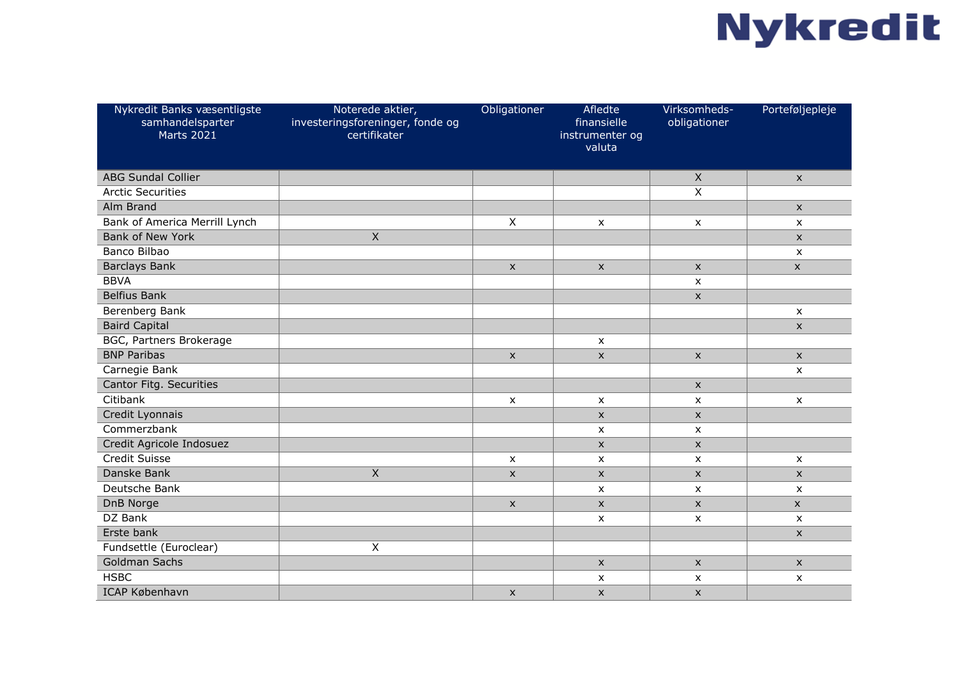## **Nykredit**

| Nykredit Banks væsentligste<br>samhandelsparter<br><b>Marts 2021</b> | Noterede aktier,<br>investeringsforeninger, fonde og<br>certifikater | Obligationer   | Afledte<br>finansielle<br>instrumenter og<br>valuta | Virksomheds-<br>obligationer | Porteføljepleje           |
|----------------------------------------------------------------------|----------------------------------------------------------------------|----------------|-----------------------------------------------------|------------------------------|---------------------------|
| <b>ABG Sundal Collier</b>                                            |                                                                      |                |                                                     | $\boldsymbol{X}$             | $\mathsf{x}$              |
| <b>Arctic Securities</b>                                             |                                                                      |                |                                                     | Χ                            |                           |
| Alm Brand                                                            |                                                                      |                |                                                     |                              | $\mathsf X$               |
| Bank of America Merrill Lynch                                        |                                                                      | Χ              | $\pmb{\times}$                                      | $\pmb{\times}$               | $\boldsymbol{\mathsf{x}}$ |
| <b>Bank of New York</b>                                              | $\overline{\mathsf{x}}$                                              |                |                                                     |                              | $\mathsf X$               |
| Banco Bilbao                                                         |                                                                      |                |                                                     |                              | $\pmb{\chi}$              |
| <b>Barclays Bank</b>                                                 |                                                                      | $\mathsf{x}$   | $\pmb{\times}$                                      | $\pmb{\times}$               | $\mathsf{x}$              |
| <b>BBVA</b>                                                          |                                                                      |                |                                                     | $\pmb{\times}$               |                           |
| <b>Belfius Bank</b>                                                  |                                                                      |                |                                                     | $\boldsymbol{\mathsf{x}}$    |                           |
| Berenberg Bank                                                       |                                                                      |                |                                                     |                              | $\boldsymbol{\mathsf{x}}$ |
| <b>Baird Capital</b>                                                 |                                                                      |                |                                                     |                              | $\mathsf{x}$              |
| BGC, Partners Brokerage                                              |                                                                      |                | $\boldsymbol{\mathsf{x}}$                           |                              |                           |
| <b>BNP Paribas</b>                                                   |                                                                      | $\pmb{\times}$ | X                                                   | $\pmb{\times}$               | $\boldsymbol{\mathsf{x}}$ |
| Carnegie Bank                                                        |                                                                      |                |                                                     |                              | $\boldsymbol{\mathsf{x}}$ |
| Cantor Fitg. Securities                                              |                                                                      |                |                                                     | $\pmb{\times}$               |                           |
| Citibank                                                             |                                                                      | $\pmb{\times}$ | $\pmb{\mathsf{X}}$                                  | $\pmb{\times}$               | $\pmb{\mathsf{X}}$        |
| Credit Lyonnais                                                      |                                                                      |                | $\mathsf{x}$                                        | $\pmb{\times}$               |                           |
| Commerzbank                                                          |                                                                      |                | $\mathsf{x}$                                        | $\pmb{\times}$               |                           |
| Credit Agricole Indosuez                                             |                                                                      |                | $\mathsf{x}$                                        | $\pmb{\times}$               |                           |
| Credit Suisse                                                        |                                                                      | X              | X                                                   | X                            | $\boldsymbol{\mathsf{x}}$ |
| Danske Bank                                                          | $\mathsf{X}$                                                         | $\mathsf{x}$   | X                                                   | X                            | $\mathsf{x}$              |
| Deutsche Bank                                                        |                                                                      |                | $\mathsf{x}$                                        | X                            | $\mathsf{x}$              |
| DnB Norge                                                            |                                                                      | $\mathsf{x}$   | X                                                   | $\pmb{\mathsf{X}}$           | $\mathsf{x}$              |
| DZ Bank                                                              |                                                                      |                | X                                                   | $\pmb{\times}$               | $\boldsymbol{\mathsf{x}}$ |
| Erste bank                                                           |                                                                      |                |                                                     |                              | $\mathsf{x}$              |
| Fundsettle (Euroclear)                                               | X                                                                    |                |                                                     |                              |                           |
| <b>Goldman Sachs</b>                                                 |                                                                      |                | $\pmb{\times}$                                      | $\pmb{\mathsf{X}}$           | $\boldsymbol{\mathsf{x}}$ |
| <b>HSBC</b>                                                          |                                                                      |                | X                                                   | X                            | $\boldsymbol{\mathsf{x}}$ |
| ICAP København                                                       |                                                                      | $\pmb{\times}$ | $\pmb{\times}$                                      | $\pmb{\times}$               |                           |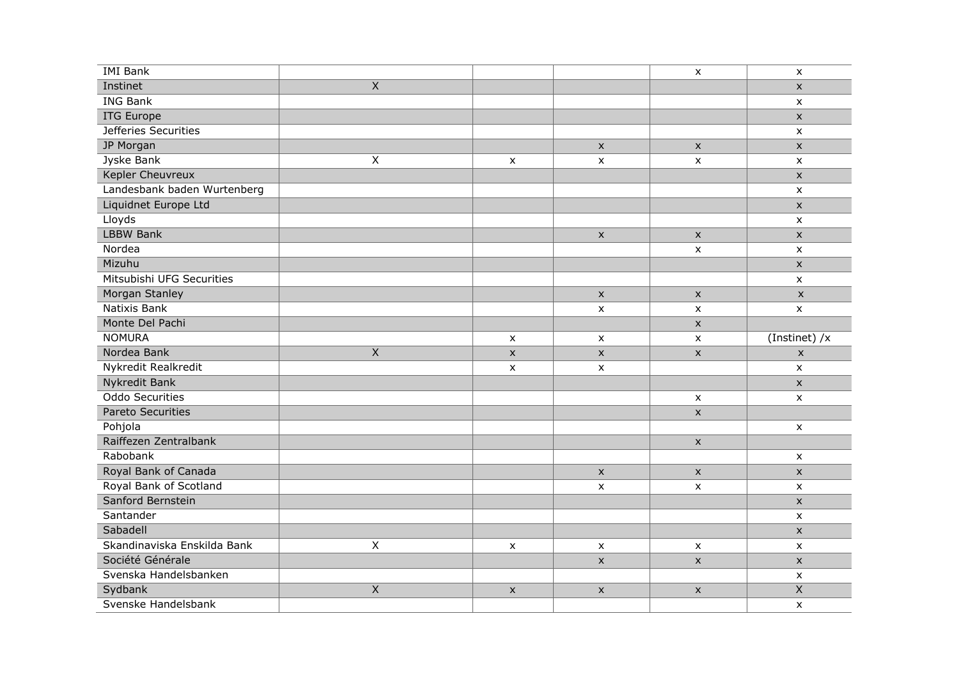| <b>IMI</b> Bank             |                |                           |                           | $\pmb{\mathsf{x}}$ | $\pmb{\mathsf{X}}$        |
|-----------------------------|----------------|---------------------------|---------------------------|--------------------|---------------------------|
| Instinet                    | $\overline{X}$ |                           |                           |                    | $\mathsf{x}$              |
| <b>ING Bank</b>             |                |                           |                           |                    | $\pmb{\mathsf{x}}$        |
| <b>ITG Europe</b>           |                |                           |                           |                    | $\mathsf X$               |
| Jefferies Securities        |                |                           |                           |                    | $\pmb{\mathsf{X}}$        |
| JP Morgan                   |                |                           | $\pmb{\times}$            | $\pmb{\times}$     | $\mathsf{x}$              |
| Jyske Bank                  | $\mathsf X$    | $\pmb{\times}$            | $\pmb{\times}$            | $\pmb{\times}$     | $\pmb{\mathsf{X}}$        |
| Kepler Cheuvreux            |                |                           |                           |                    | $\mathsf{x}$              |
| Landesbank baden Wurtenberg |                |                           |                           |                    | $\pmb{\mathsf{X}}$        |
| Liquidnet Europe Ltd        |                |                           |                           |                    | $\boldsymbol{\mathsf{x}}$ |
| Lloyds                      |                |                           |                           |                    | $\mathsf{x}$              |
| <b>LBBW Bank</b>            |                |                           | $\pmb{\times}$            | $\pmb{\times}$     | $\boldsymbol{\mathsf{x}}$ |
| Nordea                      |                |                           |                           | $\pmb{\times}$     | $\pmb{\mathsf{X}}$        |
| Mizuhu                      |                |                           |                           |                    | $\boldsymbol{\mathsf{x}}$ |
| Mitsubishi UFG Securities   |                |                           |                           |                    | $\mathsf{x}$              |
| Morgan Stanley              |                |                           | $\pmb{\mathsf{X}}$        | $\pmb{\times}$     | $\pmb{\mathsf{x}}$        |
| Natixis Bank                |                |                           | $\pmb{\times}$            | $\pmb{\times}$     | $\mathsf{x}$              |
| Monte Del Pachi             |                |                           |                           | $\pmb{\times}$     |                           |
| <b>NOMURA</b>               |                | $\mathsf{x}$              | $\boldsymbol{\mathsf{x}}$ | $\pmb{\times}$     | (Instinet) /x             |
| Nordea Bank                 | $\mathsf X$    | $\mathsf X$               | $\pmb{\mathsf{X}}$        | $\pmb{\times}$     | $\pmb{\mathsf{X}}$        |
| Nykredit Realkredit         |                | $\boldsymbol{\mathsf{x}}$ | $\pmb{\times}$            |                    | $\mathsf{x}$              |
| Nykredit Bank               |                |                           |                           |                    | $\mathsf X$               |
| Oddo Securities             |                |                           |                           | $\pmb{\mathsf{X}}$ | $\pmb{\mathsf{X}}$        |
| Pareto Securities           |                |                           |                           | $\pmb{\times}$     |                           |
| Pohjola                     |                |                           |                           |                    | $\boldsymbol{\mathsf{x}}$ |
| Raiffezen Zentralbank       |                |                           |                           | $\pmb{\times}$     |                           |
| Rabobank                    |                |                           |                           |                    | $\boldsymbol{\mathsf{x}}$ |
| Royal Bank of Canada        |                |                           | $\mathsf{X}$              | $\pmb{\times}$     | $\pmb{\times}$            |
| Royal Bank of Scotland      |                |                           | X                         | X                  | $\boldsymbol{\mathsf{x}}$ |
| Sanford Bernstein           |                |                           |                           |                    | $\pmb{\times}$            |
| Santander                   |                |                           |                           |                    | $\boldsymbol{\mathsf{x}}$ |
| Sabadell                    |                |                           |                           |                    | $\mathsf X$               |
| Skandinaviska Enskilda Bank | $\mathsf X$    | $\pmb{\mathsf{x}}$        | $\pmb{\times}$            | $\pmb{\times}$     | $\pmb{\mathsf{X}}$        |
| Société Générale            |                |                           | $\pmb{\times}$            | $\pmb{\times}$     | $\mathsf X$               |
| Svenska Handelsbanken       |                |                           |                           |                    | $\pmb{\mathsf{X}}$        |
| Sydbank                     | $\overline{X}$ | $\mathsf X$               | $\pmb{\times}$            | $\pmb{\times}$     | $\overline{X}$            |
| Svenske Handelsbank         |                |                           |                           |                    | $\pmb{\mathsf{X}}$        |